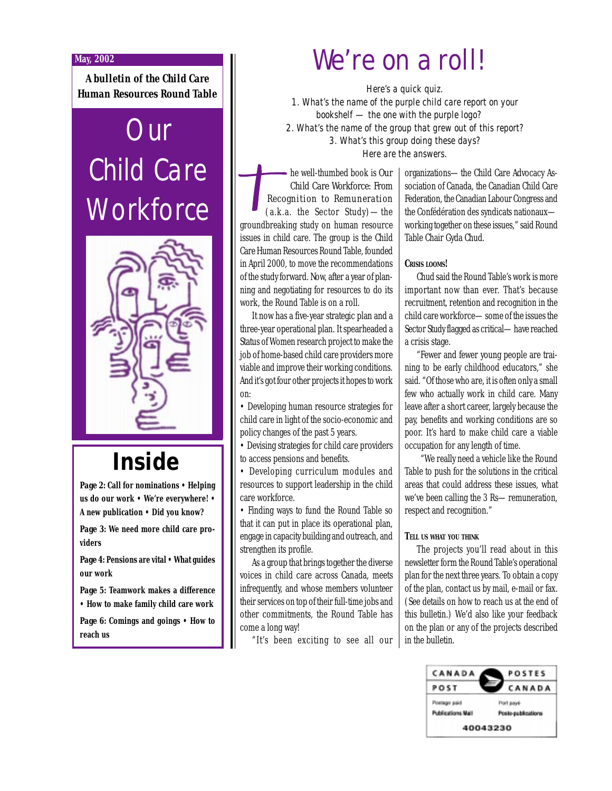#### **May, 2002**

*A bulletin of the Child Care Human Resources Round Table*

# **Our** Child Care **Workforce**



## **Inside**

*Page 2***: Call for nominations • Helping us do our work • We're everywhere! • A new publication • Did you know?**

*Page 3***: We need more child care providers**

*Page 4***: Pensions are vital • What guides our work**

*Page 5***: Teamwork makes a difference • How to make family child care work**

*Page 6***: Comings and goings • How to reach us**

## We're on a roll!

*Here's a quick quiz. 1. What's the name of the purple child care report on your bookshelf — the one with the purple logo? 2. What's the name of the group that grew out of this report? 3. What's this group doing these days? Here are the answers.*

he well-thumbed book is *Our Child Care Workforce: From Recognition to Remuneration* (a.k.a. the Sector Study)—the groundbreaking study on human resource issues in child care. The group is the Child Care Human Resources Round Table, founded in April 2000, to move the recommendations of the study forward. Now, after a year of planning and negotiating for resources to do its work, the Round Table is on a roll.

It now has a five-year strategic plan and a three-year operational plan. It spearheaded a Status of Women research project to make the job of home-based child care providers more viable and improve their working conditions. And it's got four other projects it hopes to work on:

• Developing human resource strategies for child care in light of the socio-economic and policy changes of the past 5 years.

• Devising strategies for child care providers to access pensions and benefits.

• Developing curriculum modules and resources to support leadership in the child care workforce.

• Finding ways to fund the Round Table so that it can put in place its operational plan, engage in capacity building and outreach, and strengthen its profile.

As a group that brings together the diverse voices in child care across Canada, meets infrequently, and whose members volunteer their services on top of their full-time jobs and other commitments, the Round Table has come a long way!

"It's been exciting to see all our

organizations—the Child Care Advocacy Association of Canada, the Canadian Child Care Federation, the Canadian Labour Congress and the Confédération des syndicats nationaux working together on these issues," said Round Table Chair Gyda Chud.

#### **CRISIS LOOMS!**

Chud said the Round Table's work is more important now than ever. That's because recruitment, retention and recognition in the child care workforce—some of the issues the Sector Study flagged as critical—have reached a crisis stage.

"Fewer and fewer young people are training to be early childhood educators," she said. "Of those who are, it is often only a small few who actually work in child care. Many leave after a short career, largely because the pay, benefits and working conditions are so poor. It's hard to make child care a viable occupation for any length of time.

 "We really need a vehicle like the Round Table to push for the solutions in the critical areas that could address these issues, what we've been calling the 3 Rs—remuneration, respect and recognition."

#### **TELL US WHAT YOU THINK**

The projects you'll read about in this newsletter form the Round Table's operational plan for the next three years. To obtain a copy of the plan, contact us by mail, e-mail or fax. (See details on how to reach us at the end of this bulletin.) We'd also like your feedback on the plan or any of the projects described in the bulletin.

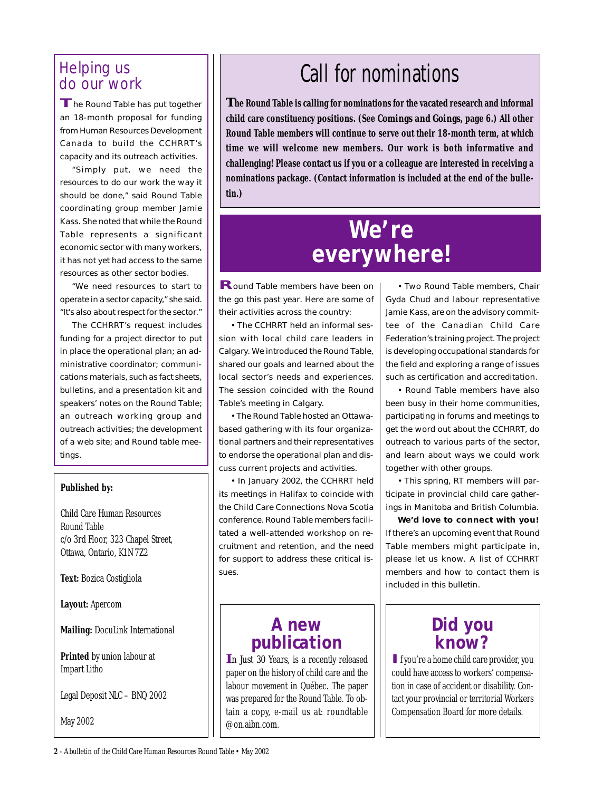# Helping us

**T**he Round Table has put together an 18-month proposal for funding from Human Resources Development Canada to build the CCHRRT's capacity and its outreach activities.

"Simply put, we need the resources to do our work the way it should be done," said Round Table coordinating group member Jamie Kass. She noted that while the Round Table represents a significant economic sector with many workers, it has not yet had access to the same resources as other sector bodies.

"We need resources to start to operate in a sector capacity," she said. "It's also about respect for the sector."

The CCHRRT's request includes funding for a project director to put in place the operational plan; an administrative coordinator; communications materials, such as fact sheets, bulletins, and a presentation kit and speakers' notes on the Round Table; an outreach working group and outreach activities; the development of a web site; and Round table meetings.

#### **Published by:**

Child Care Human Resources Round Table c/o 3rd Floor, 323 Chapel Street, Ottawa, Ontario, K1N 7Z2

**Text:** Bozica Costigliola

**Layout:** Apercom

**Mailing:** DocuLink International

**Printed** by union labour at Impart Litho

Legal Deposit NLC – BNQ 2002

May 2002

## Helping us  $\|$  **Call for nominations**

**The Round Table is calling for nominations for the vacated research and informal child care constituency positions. (See** *Comings and Goings***, page 6.) All other Round Table members will continue to serve out their 18-month term, at which time we will welcome new members. Our work is both informative and challenging! Please contact us if you or a colleague are interested in receiving a nominations package. (Contact information is included at the end of the bulletin.)**

## **We're everywhere!**

**R**ound Table members have been on the go this past year. Here are some of their activities across the country:

• The CCHRRT held an informal session with local child care leaders in Calgary. We introduced the Round Table, shared our goals and learned about the local sector's needs and experiences. The session coincided with the Round Table's meeting in Calgary.

• The Round Table hosted an Ottawabased gathering with its four organizational partners and their representatives to endorse the operational plan and discuss current projects and activities.

• In January 2002, the CCHRRT held its meetings in Halifax to coincide with the Child Care Connections Nova Scotia conference. Round Table members facilitated a well-attended workshop on recruitment and retention, and the need for support to address these critical issues.

### **A new publication**

*In Just 30 Years*, is a recently released paper on the history of child care and the labour movement in Québec. The paper was prepared for the Round Table. To obtain a copy, e-mail us at: roundtable @on.aibn.com.

• Two Round Table members, Chair Gyda Chud and labour representative Jamie Kass, are on the advisory committee of the Canadian Child Care Federation's training project. The project is developing occupational standards for the field and exploring a range of issues such as certification and accreditation.

• Round Table members have also been busy in their home communities, participating in forums and meetings to get the word out about the CCHRRT, do outreach to various parts of the sector, and learn about ways we could work together with other groups.

• This spring, RT members will participate in provincial child care gatherings in Manitoba and British Columbia.

**We'd love to connect with you!** If there's an upcoming event that Round Table members might participate in, please let us know. A list of CCHRRT members and how to contact them is included in this bulletin.

### **Did you know?**

**I**f you're a home child care provider, you could have access to workers' compensation in case of accident or disability. Contact your provincial or territorial Workers Compensation Board for more details.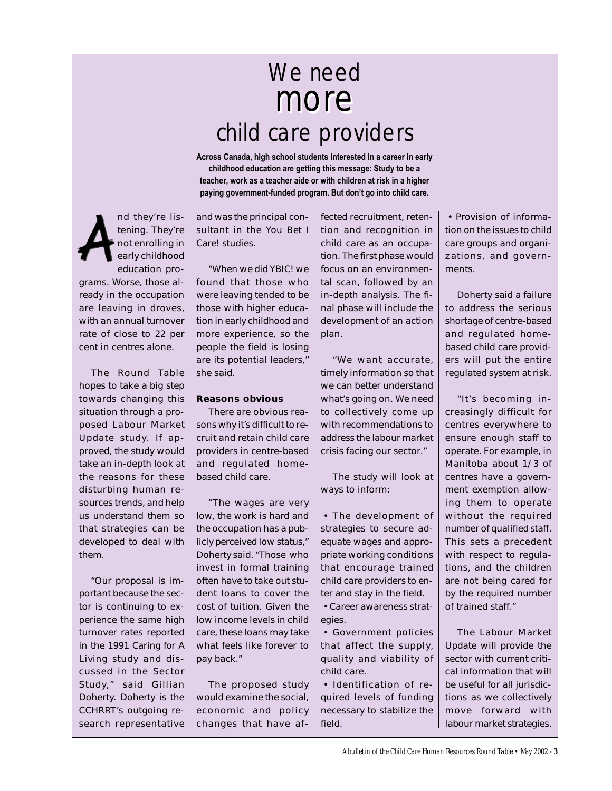## more more We need child care providers

**Across Canada, high school students interested in a career in early childhood education are getting this message: Study to be a teacher, work as a teacher aide or with children at risk in a higher paying government-funded program. But don't go into child care.**

nd they're listening. They're not enrolling in early childhood education programs. Worse, those already in the occupation are leaving in droves, with an annual turnover rate of close to 22 per cent in centres alone.

The Round Table hopes to take a big step towards changing this situation through a proposed Labour Market Update study. If approved, the study would take an in-depth look at the reasons for these disturbing human resources trends, and help us understand them so that strategies can be developed to deal with them.

"Our proposal is important because the sector is continuing to experience the same high turnover rates reported in the 1991 *Caring for A Living* study and discussed in the Sector Study," said Gillian Doherty. Doherty is the CCHRRT's outgoing research representative

and was the principal consultant in the *You Bet I Care!* studies.

"When we did *YBIC!* we found that those who were leaving tended to be those with higher education in early childhood and more experience, so the people the field is losing are its potential leaders," she said.

#### **Reasons obvious**

There are obvious reasons why it's difficult to recruit and retain child care providers in centre-based and regulated homebased child care.

"The wages are very low, the work is hard and the occupation has a publicly perceived low status," Doherty said. "Those who invest in formal training often have to take out student loans to cover the cost of tuition. Given the low income levels in child care, these loans may take what feels like forever to pay back."

The proposed study would examine the social, economic and policy changes that have affected recruitment, retention and recognition in child care as an occupation. The first phase would focus on an environmental scan, followed by an in-depth analysis. The final phase will include the development of an action plan.

"We want accurate, timely information so that we can better understand what's going on. We need to collectively come up with recommendations to address the labour market crisis facing our sector."

The study will look at ways to inform:

• The development of strategies to secure adequate wages and appropriate working conditions that encourage trained child care providers to enter and stay in the field. • Career awareness strat-

egies.

• Government policies that affect the supply, quality and viability of child care.

• Identification of required levels of funding necessary to stabilize the field.

• Provision of information on the issues to child care groups and organizations, and governments.

Doherty said a failure to address the serious shortage of centre-based and regulated homebased child care providers will put the entire regulated system at risk.

"It's becoming increasingly difficult for centres everywhere to ensure enough staff to operate. For example, in Manitoba about 1/3 of centres have a government exemption allowing them to operate without the required number of qualified staff. This sets a precedent with respect to regulations, and the children are not being cared for by the required number of trained staff."

The Labour Market Update will provide the sector with current critical information that will be useful for all jurisdictions as we collectively move forward with labour market strategies.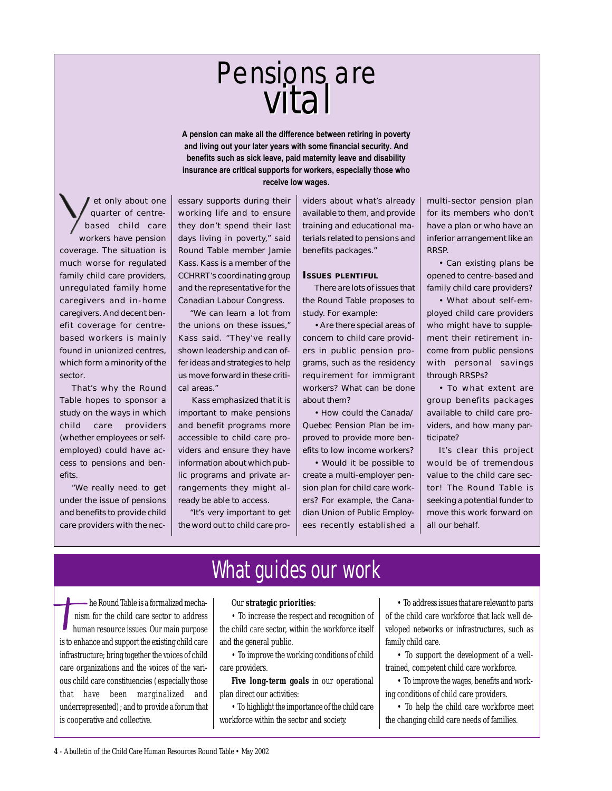# vital vitalPensions are

**A pension can make all the difference between retiring in poverty and living out your later years with some financial security. And benefits such as sick leave, paid maternity leave and disability insurance are critical supports for workers, especially those who receive low wages.**

et only about one quarter of centrebased child care workers have pension coverage. The situation is much worse for regulated family child care providers, unregulated family home caregivers and in-home caregivers. And decent benefit coverage for centrebased workers is mainly found in unionized centres, which form a minority of the sector.

That's why the Round Table hopes to sponsor a study on the ways in which child care providers (whether employees or selfemployed) could have access to pensions and benefits.

"We really need to get under the issue of pensions and benefits to provide child care providers with the necessary supports during their working life and to ensure they don't spend their last days living in poverty," said Round Table member Jamie Kass. Kass is a member of the CCHRRT's coordinating group and the representative for the Canadian Labour Congress.

"We can learn a lot from the unions on these issues," Kass said. "They've really shown leadership and can offer ideas and strategies to help us move forward in these critical areas."

 Kass emphasized that it is important to make pensions and benefit programs more accessible to child care providers and ensure they have information about which public programs and private arrangements they might already be able to access.

"It's very important to get the word out to child care providers about what's already available to them, and provide training and educational materials related to pensions and benefits packages."

#### **ISSUES PLENTIFUL**

There are lots of issues that the Round Table proposes to study. For example:

• Are there special areas of concern to child care providers in public pension programs, such as the residency requirement for immigrant workers? What can be done about them?

• How could the Canada/ Quebec Pension Plan be improved to provide more benefits to low income workers?

• Would it be possible to create a multi-employer pension plan for child care workers? For example, the Canadian Union of Public Employees recently established a multi-sector pension plan for its members who don't have a plan or who have an inferior arrangement like an RRSP.

• Can existing plans be opened to centre-based and family child care providers?

• What about self-employed child care providers who might have to supplement their retirement income from public pensions with personal savings through RRSPs?

• To what extent are group benefits packages available to child care providers, and how many participate?

It's clear this project would be of tremendous value to the child care sector! The Round Table is seeking a potential funder to move this work forward on all our behalf.

### What guides our work

he Round Table is a formalized mechanism for the child care sector to address human resource issues. Our main purpose is to enhance and support the existing child care infrastructure; bring together the voices of child care organizations and the voices of the various child care constituencies (especially those that have been marginalized and underrepresented); and to provide a forum that is cooperative and collective.

#### Our **strategic priorities**:

• To increase the respect and recognition of the child care sector, within the workforce itself and the general public.

• To improve the working conditions of child care providers.

**Five long-term goals** in our operational plan direct our activities:

• To highlight the importance of the child care workforce within the sector and society.

• To address issues that are relevant to parts of the child care workforce that lack well developed networks or infrastructures, such as family child care.

• To support the development of a welltrained, competent child care workforce.

• To improve the wages, benefits and working conditions of child care providers.

• To help the child care workforce meet the changing child care needs of families.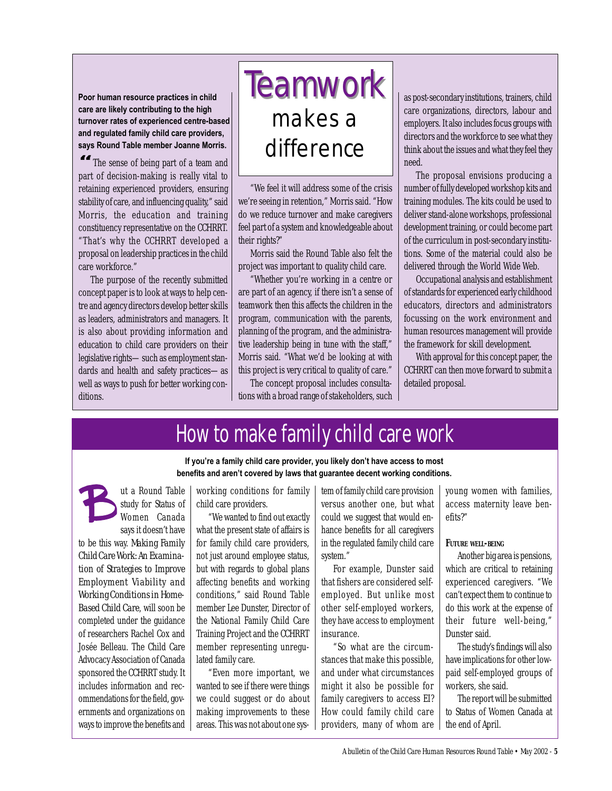**Poor human resource practices in child care are likely contributing to the high turnover rates of experienced centre-based and regulated family child care providers, says Round Table member Joanne Morris.**

**"** The sense of being part of a team and part of decision-making is really vital to retaining experienced providers, ensuring stability of care, and influencing quality," said Morris, the education and training constituency representative on the CCHRRT. "That's why the CCHRRT developed a proposal on leadership practices in the child care workforce."

The purpose of the recently submitted concept paper is to look at ways to help centre and agency directors develop better skills as leaders, administrators and managers. It is also about providing information and education to child care providers on their legislative rights—such as employment standards and health and safety practices—as well as ways to push for better working conditions.

# **Teamwork** makes a difference

"We feel it will address some of the crisis we're seeing in retention," Morris said. "How do we reduce turnover and make caregivers feel part of a system and knowledgeable about their rights?"

Morris said the Round Table also felt the project was important to quality child care.

"Whether you're working in a centre or are part of an agency, if there isn't a sense of teamwork then this affects the children in the program, communication with the parents, planning of the program, and the administrative leadership being in tune with the staff," Morris said. "What we'd be looking at with this project is very critical to quality of care."

The concept proposal includes consultations with a broad range of stakeholders, such as post-secondary institutions, trainers, child care organizations, directors, labour and employers. It also includes focus groups with directors and the workforce to see what they think about the issues and what they feel they need.

The proposal envisions producing a number of fully developed workshop kits and training modules. The kits could be used to deliver stand-alone workshops, professional development training, or could become part of the curriculum in post-secondary institutions. Some of the material could also be delivered through the World Wide Web.

Occupational analysis and establishment of standards for experienced early childhood educators, directors and administrators focussing on the work environment and human resources management will provide the framework for skill development.

With approval for this concept paper, the CCHRRT can then move forward to submit a detailed proposal.

## How to make family child care work

**If you're a family child care provider, you likely don't have access to most benefits and aren't covered by laws that guarantee decent working conditions.**

ut a Round Table study for Status of Women Canada says it doesn't have to be this way. *Making Family Child Care Work: An Examination of Strategies to Improve Employment Viability and Working Conditions in Home-Based Child Care*, will soon be completed under the guidance of researchers Rachel Cox and Josée Belleau. The Child Care Advocacy Association of Canada sponsored the CCHRRT study. It includes information and recommendations for the field, governments and organizations on ways to improve the benefits and

working conditions for family child care providers.

"We wanted to find out exactly what the present state of affairs is for family child care providers, not just around employee status, but with regards to global plans affecting benefits and working conditions," said Round Table member Lee Dunster, Director of the National Family Child Care Training Project and the CCHRRT member representing unregulated family care.

"Even more important, we wanted to see if there were things we could suggest or do about making improvements to these areas. This was not about one sys-

tem of family child care provision versus another one, but what could we suggest that would enhance benefits for all caregivers in the regulated family child care system."

For example, Dunster said that fishers are considered selfemployed. But unlike most other self-employed workers, they have access to employment insurance.

"So what are the circumstances that make this possible, and under what circumstances might it also be possible for family caregivers to access EI? How could family child care providers, many of whom are young women with families, access maternity leave benefits?"

#### **FUTURE WELL-BEING**

Another big area is pensions, which are critical to retaining experienced caregivers. "We can't expect them to continue to do this work at the expense of their future well-being," Dunster said.

The study's findings will also have implications for other lowpaid self-employed groups of workers, she said.

The report will be submitted to Status of Women Canada at the end of April.